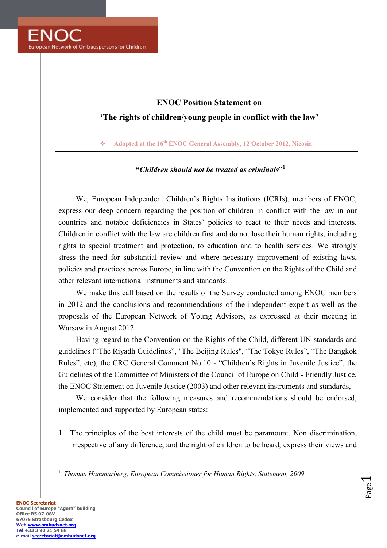

## **ENOC Position Statement on 'The rights of children/young people in conflict with the law'**

**Adopted at the 16<sup>th</sup> ENOC General Assembly, 12 October 2012, Nicosia** 

## **"***Children should not be treated as criminals***" 1**

We, European Independent Children's Rights Institutions (ICRIs), members of ENOC, express our deep concern regarding the position of children in conflict with the law in our countries and notable deficiencies in States' policies to react to their needs and interests. Children in conflict with the law are children first and do not lose their human rights, including rights to special treatment and protection, to education and to health services. We strongly stress the need for substantial review and where necessary improvement of existing laws, policies and practices across Europe, in line with the Convention on the Rights of the Child and other relevant international instruments and standards.

We make this call based on the results of the Survey conducted among ENOC members in 2012 and the conclusions and recommendations of the independent expert as well as the proposals of the European Network of Young Advisors, as expressed at their meeting in Warsaw in August 2012.

Having regard to the Convention on the Rights of the Child, different UN standards and guidelines ("The Riyadh Guidelines", "The Beijing Rules", "The Tokyo Rules", "The Bangkok Rules", etc), the CRC General Comment No.10 - "Children's Rights in Juvenile Justice", the Guidelines of the Committee of Ministers of the Council of Europe on Child - Friendly Justice, the ENOC Statement on Juvenile Justice (2003) and other relevant instruments and standards,

We consider that the following measures and recommendations should be endorsed, implemented and supported by European states:

1. The principles of the best interests of the child must be paramount. Non discrimination, irrespective of any difference, and the right of children to be heard, express their views and

> Page  $\overline{\phantom{0}}$

 $\overline{a}$ <sup>1</sup> Thomas Hammarberg, European Commissioner for Human Rights, Statement, 2009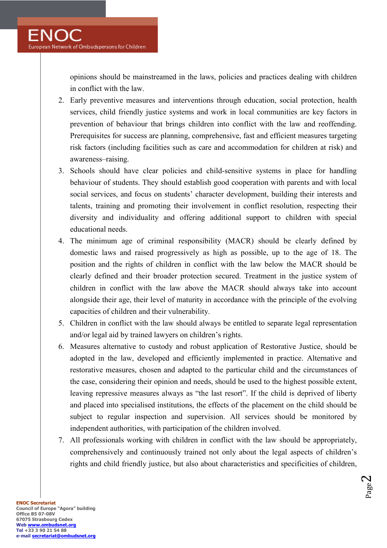opinions should be mainstreamed in the laws, policies and practices dealing with children in conflict with the law.

- 2. Early preventive measures and interventions through education, social protection, health services, child friendly justice systems and work in local communities are key factors in prevention of behaviour that brings children into conflict with the law and reoffending. Prerequisites for success are planning, comprehensive, fast and efficient measures targeting risk factors (including facilities such as care and accommodation for children at risk) and awareness–raising.
- 3. Schools should have clear policies and child-sensitive systems in place for handling behaviour of students. They should establish good cooperation with parents and with local social services, and focus on students' character development, building their interests and talents, training and promoting their involvement in conflict resolution, respecting their diversity and individuality and offering additional support to children with special educational needs.
- 4. The minimum age of criminal responsibility (MACR) should be clearly defined by domestic laws and raised progressively as high as possible, up to the age of 18. The position and the rights of children in conflict with the law below the MACR should be clearly defined and their broader protection secured. Treatment in the justice system of children in conflict with the law above the MACR should always take into account alongside their age, their level of maturity in accordance with the principle of the evolving capacities of children and their vulnerability.
- 5. Children in conflict with the law should always be entitled to separate legal representation and/or legal aid by trained lawyers on children's rights.
- 6. Measures alternative to custody and robust application of Restorative Justice, should be adopted in the law, developed and efficiently implemented in practice. Alternative and restorative measures, chosen and adapted to the particular child and the circumstances of the case, considering their opinion and needs, should be used to the highest possible extent, leaving repressive measures always as "the last resort". If the child is deprived of liberty and placed into specialised institutions, the effects of the placement on the child should be subject to regular inspection and supervision. All services should be monitored by independent authorities, with participation of the children involved.
- 7. All professionals working with children in conflict with the law should be appropriately, comprehensively and continuously trained not only about the legal aspects of children's rights and child friendly justice, but also about characteristics and specificities of children,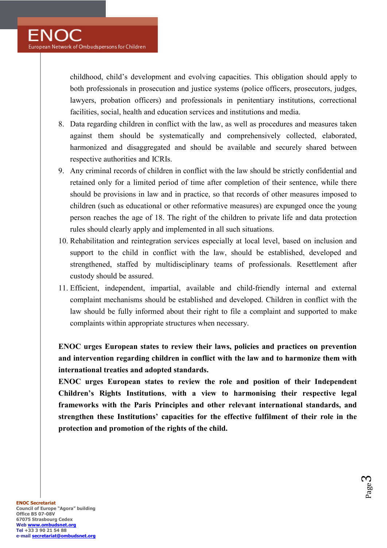childhood, child's development and evolving capacities. This obligation should apply to both professionals in prosecution and justice systems (police officers, prosecutors, judges, lawyers, probation officers) and professionals in penitentiary institutions, correctional facilities, social, health and education services and institutions and media.

- 8. Data regarding children in conflict with the law, as well as procedures and measures taken against them should be systematically and comprehensively collected, elaborated, harmonized and disaggregated and should be available and securely shared between respective authorities and ICRIs.
- 9. Any criminal records of children in conflict with the law should be strictly confidential and retained only for a limited period of time after completion of their sentence, while there should be provisions in law and in practice, so that records of other measures imposed to children (such as educational or other reformative measures) are expunged once the young person reaches the age of 18. The right of the children to private life and data protection rules should clearly apply and implemented in all such situations.
- 10. Rehabilitation and reintegration services especially at local level, based on inclusion and support to the child in conflict with the law, should be established, developed and strengthened, staffed by multidisciplinary teams of professionals. Resettlement after custody should be assured.
- 11. Efficient, independent, impartial, available and child-friendly internal and external complaint mechanisms should be established and developed. Children in conflict with the law should be fully informed about their right to file a complaint and supported to make complaints within appropriate structures when necessary.

**EOC urges European states to review their laws, policies and practices on prevention and intervention regarding children in conflict with the law and to harmonize them with international treaties and adopted standards.** 

**ENOC** urges European states to review the role and position of their Independent **Children's Rights Institutions**, **with a view to harmonising their respective legal frameworks with the Paris Principles and other relevant international standards, and strengthen these Institutions' capacities for the effective fulfilment of their role in the protection and promotion of the rights of the child.** 

> Page  $\infty$